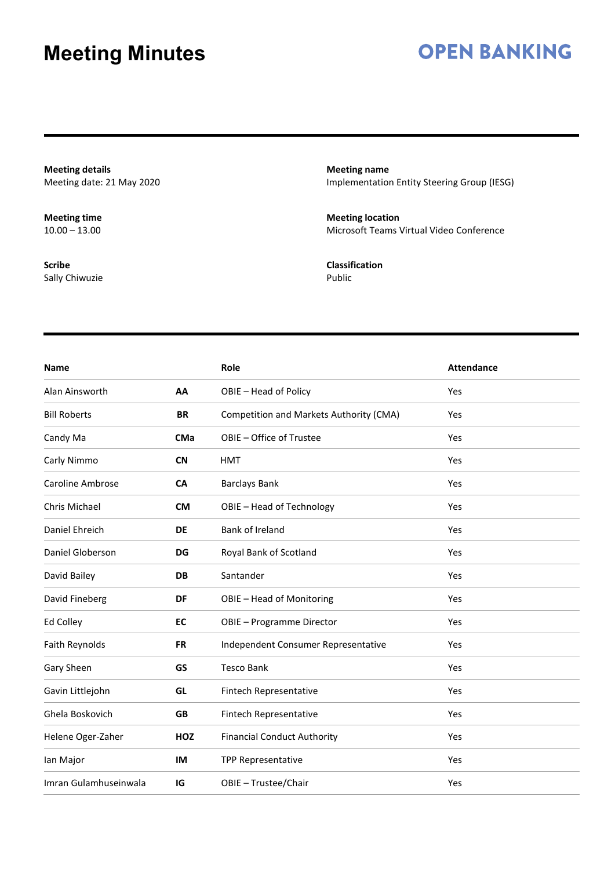#### **OPEN BANKING**

**Meeting details** Meeting date: 21 May 2020

**Meeting time**  $10.00 - 13.00$ 

**Scribe** Sally Chiwuzie **Meeting name** Implementation Entity Steering Group (IESG)

**Meeting location** Microsoft Teams Virtual Video Conference

**Classification** Public

| <b>Name</b>             |            | Role                                    | <b>Attendance</b> |
|-------------------------|------------|-----------------------------------------|-------------------|
| Alan Ainsworth          | AA         | OBIE - Head of Policy                   | Yes               |
| <b>Bill Roberts</b>     | <b>BR</b>  | Competition and Markets Authority (CMA) | Yes               |
| Candy Ma                | <b>CMa</b> | OBIE - Office of Trustee                | Yes               |
| Carly Nimmo             | <b>CN</b>  | <b>HMT</b>                              | Yes               |
| <b>Caroline Ambrose</b> | <b>CA</b>  | <b>Barclays Bank</b>                    | Yes               |
| Chris Michael           | <b>CM</b>  | OBIE - Head of Technology               | Yes               |
| Daniel Ehreich          | <b>DE</b>  | Bank of Ireland                         | Yes               |
| Daniel Globerson        | <b>DG</b>  | Royal Bank of Scotland                  | Yes               |
| David Bailey            | <b>DB</b>  | Santander                               | Yes               |
| David Fineberg          | DF         | OBIE - Head of Monitoring               | Yes               |
| Ed Colley               | <b>EC</b>  | OBIE - Programme Director               | Yes               |
| Faith Reynolds          | <b>FR</b>  | Independent Consumer Representative     | Yes               |
| Gary Sheen              | GS         | <b>Tesco Bank</b>                       | Yes               |
| Gavin Littlejohn        | GL         | Fintech Representative                  | Yes               |
| Ghela Boskovich         | <b>GB</b>  | Fintech Representative                  | Yes               |
| Helene Oger-Zaher       | <b>HOZ</b> | <b>Financial Conduct Authority</b>      | Yes               |
| lan Major               | <b>IM</b>  | TPP Representative                      | Yes               |
| Imran Gulamhuseinwala   | IG         | OBIE - Trustee/Chair                    | Yes               |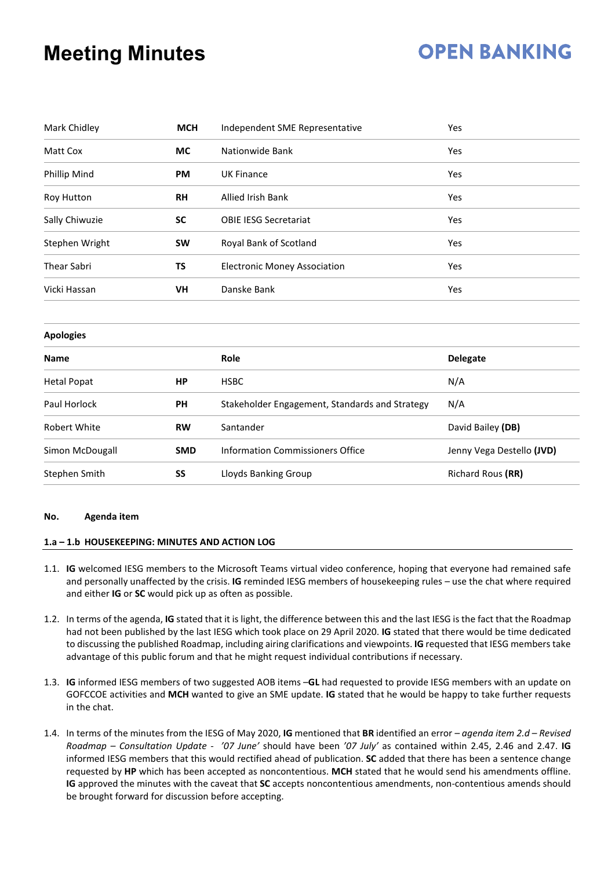## **OPEN BANKING**

| Mark Chidley                  | <b>MCH</b> | Independent SME Representative                 | Yes                       |  |  |
|-------------------------------|------------|------------------------------------------------|---------------------------|--|--|
| Matt Cox                      | <b>MC</b>  | Nationwide Bank                                | Yes                       |  |  |
| Phillip Mind                  | <b>PM</b>  | <b>UK Finance</b>                              | Yes                       |  |  |
| <b>RH</b><br>Roy Hutton       |            | Allied Irish Bank                              | Yes                       |  |  |
| Sally Chiwuzie                | <b>SC</b>  | <b>OBIE IESG Secretariat</b>                   | Yes                       |  |  |
| Stephen Wright                | <b>SW</b>  | Royal Bank of Scotland                         | Yes                       |  |  |
| <b>Thear Sabri</b><br>TS      |            | <b>Electronic Money Association</b>            | Yes                       |  |  |
| <b>VH</b><br>Vicki Hassan     |            | Danske Bank                                    | Yes                       |  |  |
| <b>Apologies</b>              |            |                                                |                           |  |  |
| <b>Name</b>                   |            | Role                                           | <b>Delegate</b>           |  |  |
| <b>Hetal Popat</b>            | <b>HP</b>  | <b>HSBC</b>                                    | N/A                       |  |  |
| Paul Horlock                  | <b>PH</b>  | Stakeholder Engagement, Standards and Strategy | N/A                       |  |  |
| <b>Robert White</b>           | <b>RW</b>  | Santander                                      | David Bailey (DB)         |  |  |
| Simon McDougall<br><b>SMD</b> |            | <b>Information Commissioners Office</b>        | Jenny Vega Destello (JVD) |  |  |
| Stephen Smith                 | SS         | Lloyds Banking Group                           | Richard Rous (RR)         |  |  |

#### **No. Agenda item**

#### **1.a – 1.b HOUSEKEEPING: MINUTES AND ACTION LOG**

- 1.1. **IG** welcomed IESG members to the Microsoft Teams virtual video conference, hoping that everyone had remained safe and personally unaffected by the crisis. **IG** reminded IESG members of housekeeping rules – use the chat where required and either **IG** or **SC** would pick up as often as possible.
- 1.2. In terms of the agenda, **IG** stated that it is light, the difference between this and the last IESG is the fact that the Roadmap had not been published by the last IESG which took place on 29 April 2020. **IG** stated that there would be time dedicated to discussing the published Roadmap, including airing clarifications and viewpoints. **IG** requested that IESG members take advantage of this public forum and that he might request individual contributions if necessary.
- 1.3. **IG** informed IESG members of two suggested AOB items –**GL** had requested to provide IESG members with an update on GOFCCOE activities and **MCH** wanted to give an SME update. **IG** stated that he would be happy to take further requests in the chat.
- 1.4. In terms of the minutes from the IESG of May 2020, **IG** mentioned that **BR** identified an error *– agenda item 2.d – Revised Roadmap – Consultation Update* - *'07 June'* should have been *'07 July'* as contained within 2.45, 2.46 and 2.47. **IG** informed IESG members that this would rectified ahead of publication. **SC** added that there has been a sentence change requested by **HP** which has been accepted as noncontentious. **MCH** stated that he would send his amendments offline. **IG** approved the minutes with the caveat that **SC** accepts noncontentious amendments, non-contentious amends should be brought forward for discussion before accepting.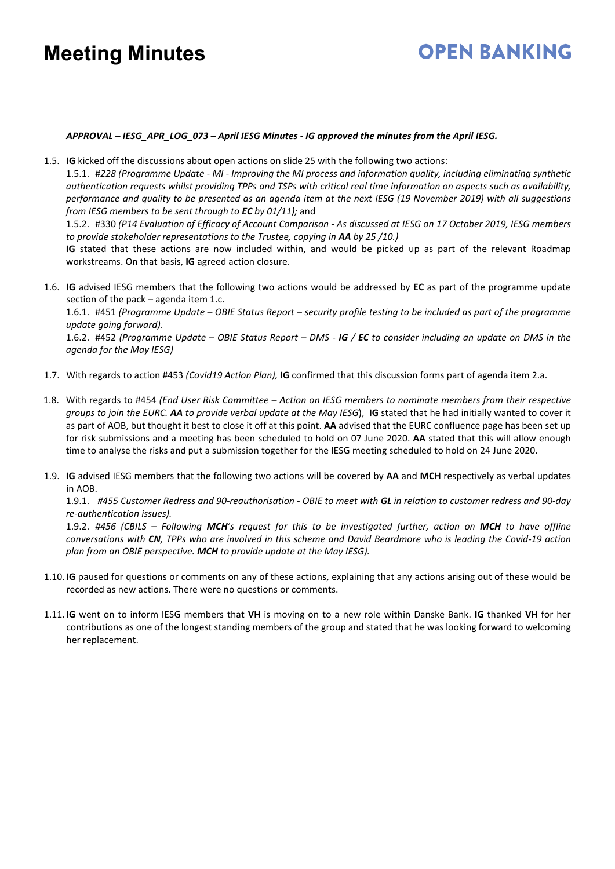## **OPEN BANKING**

#### *APPROVAL – IESG\_APR\_LOG\_073 – April IESG Minutes - IG approved the minutes from the April IESG.*

1.5. **IG** kicked off the discussions about open actions on slide 25 with the following two actions:

1.5.1. #*228 (Programme Update - MI - Improving the MI process and information quality, including eliminating synthetic authentication requests whilst providing TPPs and TSPs with critical real time information on aspects such as availability, performance and quality to be presented as an agenda item at the next IESG (19 November 2019) with all suggestions from IESG members to be sent through to EC by 01/11);* and

1.5.2. #330 *(P14 Evaluation of Efficacy of Account Comparison - As discussed at IESG on 17 October 2019, IESG members to provide stakeholder representations to the Trustee, copying in AA by 25 /10.)*

**IG** stated that these actions are now included within, and would be picked up as part of the relevant Roadmap workstreams. On that basis, **IG** agreed action closure.

1.6. **IG** advised IESG members that the following two actions would be addressed by **EC** as part of the programme update section of the pack – agenda item 1.c.

1.6.1. #451 *(Programme Update – OBIE Status Report – security profile testing to be included as part of the programme update going forward)*.

1.6.2. #452 *(Programme Update – OBIE Status Report – DMS - IG / EC to consider including an update on DMS in the agenda for the May IESG)*

- 1.7. With regards to action #453 *(Covid19 Action Plan),* **IG** confirmed that this discussion forms part of agenda item 2.a.
- 1.8. With regards to #454 *(End User Risk Committee – Action on IESG members to nominate members from their respective groups to join the EURC. AA to provide verbal update at the May IESG*), **IG** stated that he had initially wanted to cover it as part of AOB, but thought it best to close it off at this point. **AA** advised that the EURC confluence page has been set up for risk submissions and a meeting has been scheduled to hold on 07 June 2020. **AA** stated that this will allow enough time to analyse the risks and put a submission together for the IESG meeting scheduled to hold on 24 June 2020.
- 1.9. **IG** advised IESG members that the following two actions will be covered by **AA** and **MCH** respectively as verbal updates in AOB.

1.9.1. *#455 Customer Redress and 90-reauthorisation - OBIE to meet with GL in relation to customer redress and 90-day re-authentication issues).*

1.9.2. *#456 (CBILS – Following MCH's request for this to be investigated further, action on MCH to have offline conversations with CN, TPPs who are involved in this scheme and David Beardmore who is leading the Covid-19 action plan from an OBIE perspective. MCH to provide update at the May IESG).* 

- 1.10. **IG** paused for questions or comments on any of these actions, explaining that any actions arising out of these would be recorded as new actions. There were no questions or comments.
- 1.11. **IG** went on to inform IESG members that **VH** is moving on to a new role within Danske Bank. **IG** thanked **VH** for her contributions as one of the longest standing members of the group and stated that he was looking forward to welcoming her replacement.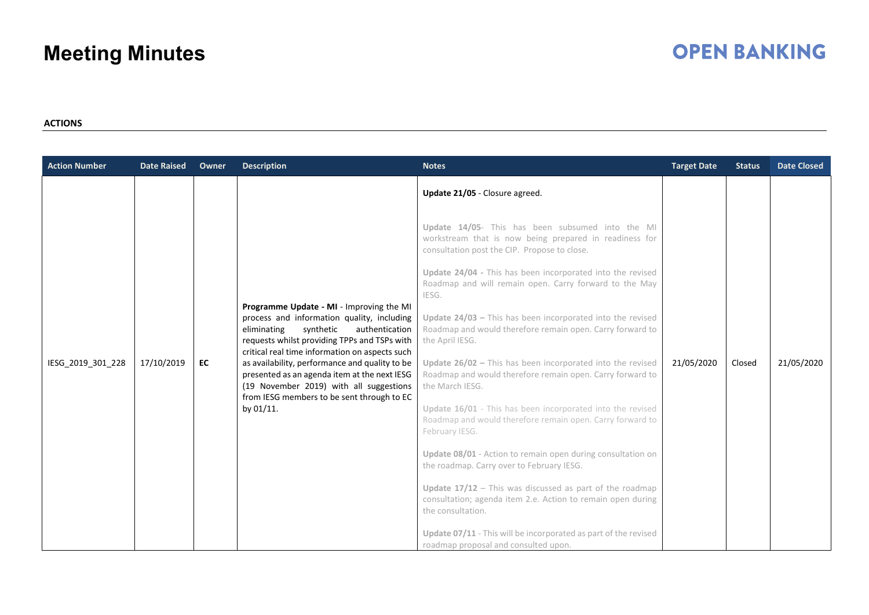## **OPEN BANKING**

#### **ACTIONS**

| <b>Action Number</b> | <b>Date Raised</b> | Owner | <b>Description</b>                                                                                                                                                                                                                                                                                                                                                                                                                                | <b>Notes</b>                                                                                                                                                                                                                                                                                                                                                                                                                                                                                                                                                                                                                                                                                                                                                                                                                                                                                                                                         | <b>Target Date</b> | <b>Status</b> | <b>Date Closed</b> |
|----------------------|--------------------|-------|---------------------------------------------------------------------------------------------------------------------------------------------------------------------------------------------------------------------------------------------------------------------------------------------------------------------------------------------------------------------------------------------------------------------------------------------------|------------------------------------------------------------------------------------------------------------------------------------------------------------------------------------------------------------------------------------------------------------------------------------------------------------------------------------------------------------------------------------------------------------------------------------------------------------------------------------------------------------------------------------------------------------------------------------------------------------------------------------------------------------------------------------------------------------------------------------------------------------------------------------------------------------------------------------------------------------------------------------------------------------------------------------------------------|--------------------|---------------|--------------------|
| IESG 2019 301 228    | 17/10/2019         | EC    | Programme Update - MI - Improving the MI<br>process and information quality, including<br>synthetic<br>authentication<br>eliminating<br>requests whilst providing TPPs and TSPs with<br>critical real time information on aspects such<br>as availability, performance and quality to be<br>presented as an agenda item at the next IESG<br>(19 November 2019) with all suggestions<br>from IESG members to be sent through to EC<br>by $01/11$ . | Update 21/05 - Closure agreed.<br>Update 14/05- This has been subsumed into the MI<br>workstream that is now being prepared in readiness for<br>consultation post the CIP. Propose to close.<br>Update 24/04 - This has been incorporated into the revised<br>Roadmap and will remain open. Carry forward to the May<br>IESG.<br>Update $24/03$ - This has been incorporated into the revised<br>Roadmap and would therefore remain open. Carry forward to<br>the April IESG.<br>Update $26/02$ – This has been incorporated into the revised<br>Roadmap and would therefore remain open. Carry forward to<br>the March IESG.<br>Update 16/01 - This has been incorporated into the revised<br>Roadmap and would therefore remain open. Carry forward to<br>February IESG.<br>Update 08/01 - Action to remain open during consultation on<br>the roadmap. Carry over to February IESG.<br>Update $17/12$ - This was discussed as part of the roadmap | 21/05/2020         | Closed        | 21/05/2020         |
|                      |                    |       |                                                                                                                                                                                                                                                                                                                                                                                                                                                   | consultation; agenda item 2.e. Action to remain open during<br>the consultation.<br>Update 07/11 - This will be incorporated as part of the revised<br>roadmap proposal and consulted upon.                                                                                                                                                                                                                                                                                                                                                                                                                                                                                                                                                                                                                                                                                                                                                          |                    |               |                    |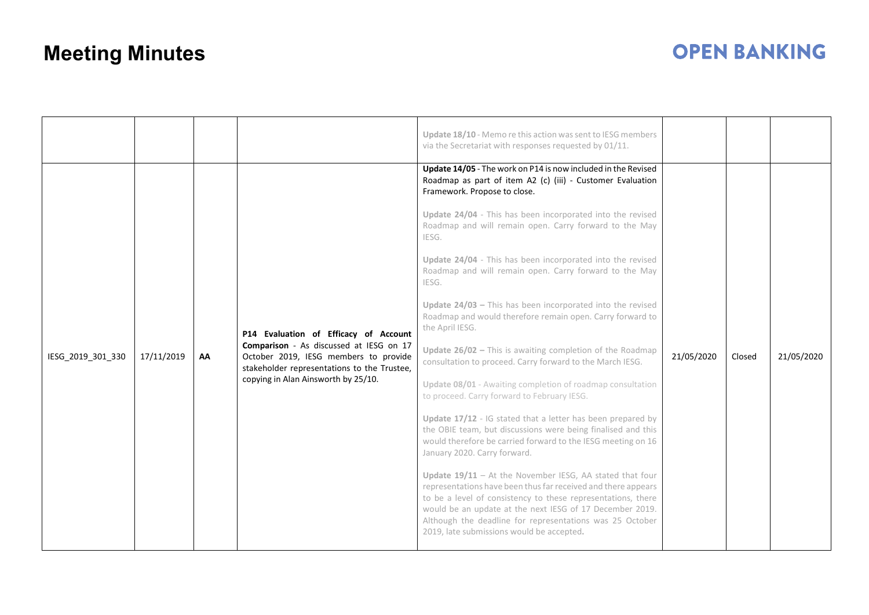|                   |            |    |                                                                                                                                                                                                                 | Update 18/10 - Memo re this action was sent to IESG members<br>via the Secretariat with responses requested by 01/11.<br>Update 14/05 - The work on P14 is now included in the Revised<br>Roadmap as part of item A2 (c) (iii) - Customer Evaluation<br>Framework. Propose to close.                                                                                                                                                                                                                                                                                                                                                                                                                                                                                                                                                                                                                                                                                                                                                                                                                                                                                                                                                                       |            |        |            |
|-------------------|------------|----|-----------------------------------------------------------------------------------------------------------------------------------------------------------------------------------------------------------------|------------------------------------------------------------------------------------------------------------------------------------------------------------------------------------------------------------------------------------------------------------------------------------------------------------------------------------------------------------------------------------------------------------------------------------------------------------------------------------------------------------------------------------------------------------------------------------------------------------------------------------------------------------------------------------------------------------------------------------------------------------------------------------------------------------------------------------------------------------------------------------------------------------------------------------------------------------------------------------------------------------------------------------------------------------------------------------------------------------------------------------------------------------------------------------------------------------------------------------------------------------|------------|--------|------------|
| IESG_2019_301_330 | 17/11/2019 | AA | P14 Evaluation of Efficacy of Account<br>Comparison - As discussed at IESG on 17<br>October 2019, IESG members to provide<br>stakeholder representations to the Trustee,<br>copying in Alan Ainsworth by 25/10. | Update 24/04 - This has been incorporated into the revised<br>Roadmap and will remain open. Carry forward to the May<br>IESG.<br>Update 24/04 - This has been incorporated into the revised<br>Roadmap and will remain open. Carry forward to the May<br>IESG.<br>Update $24/03$ – This has been incorporated into the revised<br>Roadmap and would therefore remain open. Carry forward to<br>the April IESG.<br>Update $26/02$ – This is awaiting completion of the Roadmap<br>consultation to proceed. Carry forward to the March IESG.<br>Update 08/01 - Awaiting completion of roadmap consultation<br>to proceed. Carry forward to February IESG.<br>Update 17/12 - IG stated that a letter has been prepared by<br>the OBIE team, but discussions were being finalised and this<br>would therefore be carried forward to the IESG meeting on 16<br>January 2020. Carry forward.<br>Update $19/11$ - At the November IESG, AA stated that four<br>representations have been thus far received and there appears<br>to be a level of consistency to these representations, there<br>would be an update at the next IESG of 17 December 2019.<br>Although the deadline for representations was 25 October<br>2019, late submissions would be accepted. | 21/05/2020 | Closed | 21/05/2020 |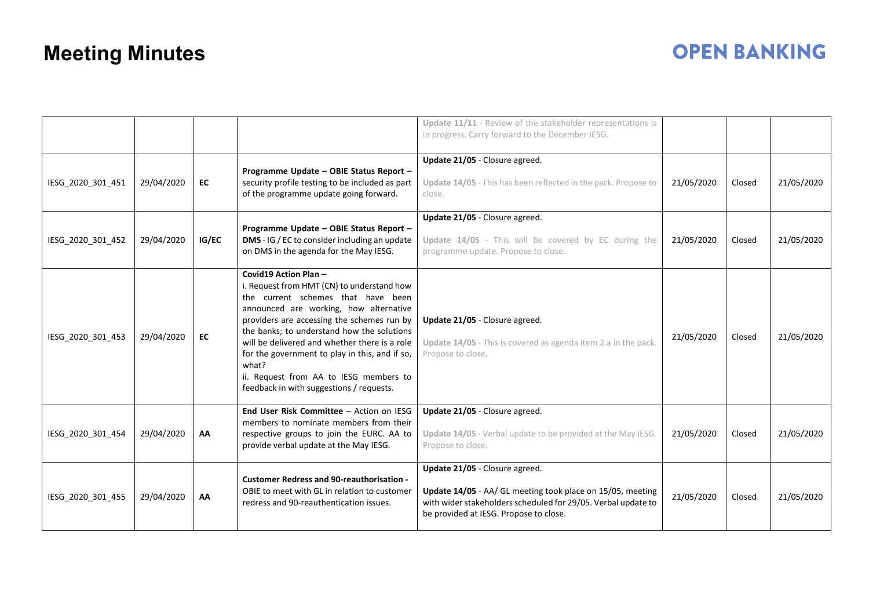|                   |            |       |                                                                                                                                                                                                                                                                                                                                                                                                                                                   | Update 11/11 - Review of the stakeholder representations is<br>in progress. Carry forward to the December IESG.                                                                                         |            |        |            |
|-------------------|------------|-------|---------------------------------------------------------------------------------------------------------------------------------------------------------------------------------------------------------------------------------------------------------------------------------------------------------------------------------------------------------------------------------------------------------------------------------------------------|---------------------------------------------------------------------------------------------------------------------------------------------------------------------------------------------------------|------------|--------|------------|
| IESG_2020_301_451 | 29/04/2020 | EC    | Programme Update - OBIE Status Report -<br>security profile testing to be included as part<br>of the programme update going forward.                                                                                                                                                                                                                                                                                                              | Update 21/05 - Closure agreed.<br>Update 14/05 - This has been reflected in the pack. Propose to<br>close.                                                                                              | 21/05/2020 | Closed | 21/05/2020 |
| IESG_2020_301_452 | 29/04/2020 | IG/EC | Programme Update - OBIE Status Report -<br>DMS - IG / EC to consider including an update<br>on DMS in the agenda for the May IESG.                                                                                                                                                                                                                                                                                                                | Update 21/05 - Closure agreed.<br>Update 14/05 - This will be covered by EC during the<br>programme update. Propose to close.                                                                           | 21/05/2020 | Closed | 21/05/2020 |
| IESG 2020 301 453 | 29/04/2020 | EC    | Covid19 Action Plan -<br>i. Request from HMT (CN) to understand how<br>the current schemes that have been<br>announced are working, how alternative<br>providers are accessing the schemes run by<br>the banks; to understand how the solutions<br>will be delivered and whether there is a role<br>for the government to play in this, and if so,<br>what?<br>ii. Request from AA to IESG members to<br>feedback in with suggestions / requests. | Update 21/05 - Closure agreed.<br>Update 14/05 - This is covered as agenda item 2.a in the pack.<br>Propose to close.                                                                                   | 21/05/2020 | Closed | 21/05/2020 |
| IESG_2020_301_454 | 29/04/2020 | AA    | End User Risk Committee - Action on IESG<br>members to nominate members from their<br>respective groups to join the EURC. AA to<br>provide verbal update at the May IESG.                                                                                                                                                                                                                                                                         | Update 21/05 - Closure agreed.<br>Update 14/05 - Verbal update to be provided at the May IESG.<br>Propose to close.                                                                                     | 21/05/2020 | Closed | 21/05/2020 |
| IESG 2020 301 455 | 29/04/2020 | AA    | <b>Customer Redress and 90-reauthorisation -</b><br>OBIE to meet with GL in relation to customer<br>redress and 90-reauthentication issues.                                                                                                                                                                                                                                                                                                       | Update 21/05 - Closure agreed.<br>Update 14/05 - AA/ GL meeting took place on 15/05, meeting<br>with wider stakeholders scheduled for 29/05. Verbal update to<br>be provided at IESG. Propose to close. | 21/05/2020 | Closed | 21/05/2020 |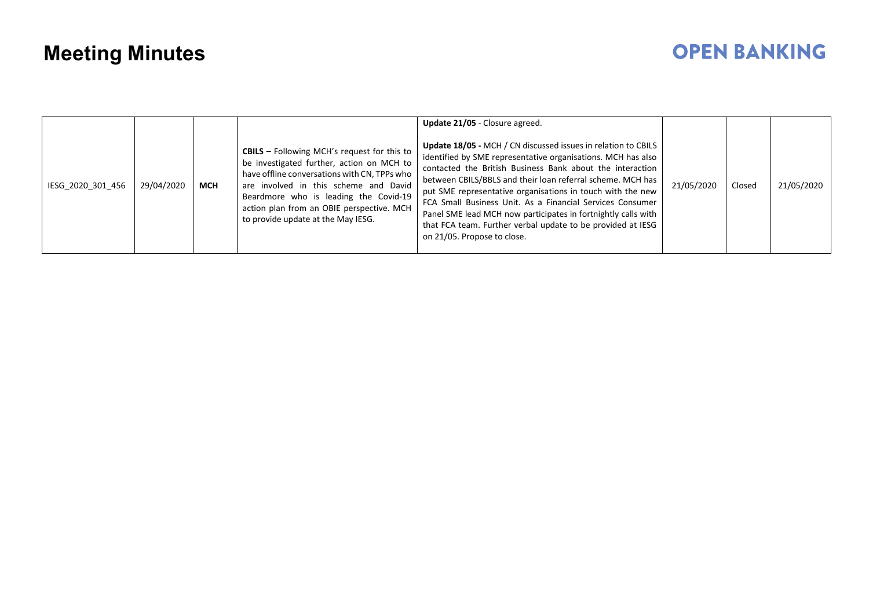| IESG 2020 301 456 | 29/04/2020 | <b>MCH</b> | <b>CBILS</b> $-$ Following MCH's request for this to<br>be investigated further, action on MCH to<br>have offline conversations with CN, TPPs who<br>are involved in this scheme and David<br>Beardmore who is leading the Covid-19<br>action plan from an OBIE perspective. MCH<br>to provide update at the May IESG. | Update 21/05 - Closure agreed.<br><b>Update 18/05 - MCH / CN discussed issues in relation to CBILS</b><br>identified by SME representative organisations. MCH has also<br>contacted the British Business Bank about the interaction<br>between CBILS/BBLS and their loan referral scheme. MCH has<br>put SME representative organisations in touch with the new<br>FCA Small Business Unit. As a Financial Services Consumer<br>Panel SME lead MCH now participates in fortnightly calls with<br>that FCA team. Further verbal update to be provided at IESG<br>on 21/05. Propose to close. | 21/05/2020 | Closed | 21/05/2020 |
|-------------------|------------|------------|------------------------------------------------------------------------------------------------------------------------------------------------------------------------------------------------------------------------------------------------------------------------------------------------------------------------|---------------------------------------------------------------------------------------------------------------------------------------------------------------------------------------------------------------------------------------------------------------------------------------------------------------------------------------------------------------------------------------------------------------------------------------------------------------------------------------------------------------------------------------------------------------------------------------------|------------|--------|------------|
|-------------------|------------|------------|------------------------------------------------------------------------------------------------------------------------------------------------------------------------------------------------------------------------------------------------------------------------------------------------------------------------|---------------------------------------------------------------------------------------------------------------------------------------------------------------------------------------------------------------------------------------------------------------------------------------------------------------------------------------------------------------------------------------------------------------------------------------------------------------------------------------------------------------------------------------------------------------------------------------------|------------|--------|------------|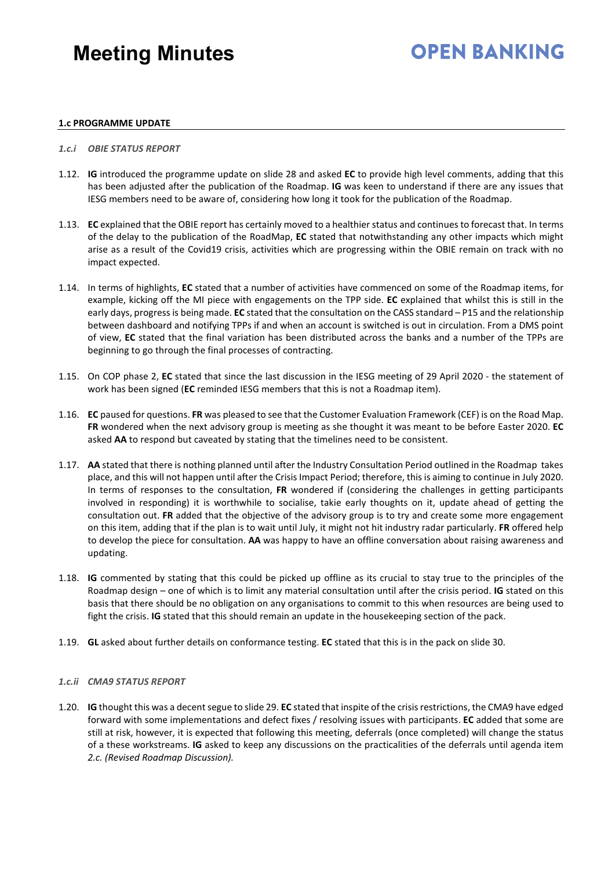### **OPEN BANKING**

#### **1.c PROGRAMME UPDATE**

#### *1.c.i OBIE STATUS REPORT*

- 1.12. **IG** introduced the programme update on slide 28 and asked **EC** to provide high level comments, adding that this has been adjusted after the publication of the Roadmap. **IG** was keen to understand if there are any issues that IESG members need to be aware of, considering how long it took for the publication of the Roadmap.
- 1.13. **EC** explained that the OBIE report has certainly moved to a healthier status and continues to forecast that. In terms of the delay to the publication of the RoadMap, **EC** stated that notwithstanding any other impacts which might arise as a result of the Covid19 crisis, activities which are progressing within the OBIE remain on track with no impact expected.
- 1.14. In terms of highlights, **EC** stated that a number of activities have commenced on some of the Roadmap items, for example, kicking off the MI piece with engagements on the TPP side. **EC** explained that whilst this is still in the early days, progress is being made. **EC** stated that the consultation on the CASS standard – P15 and the relationship between dashboard and notifying TPPs if and when an account is switched is out in circulation. From a DMS point of view, **EC** stated that the final variation has been distributed across the banks and a number of the TPPs are beginning to go through the final processes of contracting.
- 1.15. On COP phase 2, **EC** stated that since the last discussion in the IESG meeting of 29 April 2020 the statement of work has been signed (**EC** reminded IESG members that this is not a Roadmap item).
- 1.16. **EC** paused for questions. **FR** was pleased to see that the Customer Evaluation Framework (CEF) is on the Road Map. **FR** wondered when the next advisory group is meeting as she thought it was meant to be before Easter 2020. **EC** asked **AA** to respond but caveated by stating that the timelines need to be consistent.
- 1.17. **AA** stated that there is nothing planned until after the Industry Consultation Period outlined in the Roadmap takes place, and this will not happen until after the Crisis Impact Period; therefore, this is aiming to continue in July 2020. In terms of responses to the consultation, **FR** wondered if (considering the challenges in getting participants involved in responding) it is worthwhile to socialise, takie early thoughts on it, update ahead of getting the consultation out. **FR** added that the objective of the advisory group is to try and create some more engagement on this item, adding that if the plan is to wait until July, it might not hit industry radar particularly. **FR** offered help to develop the piece for consultation. **AA** was happy to have an offline conversation about raising awareness and updating.
- 1.18. **IG** commented by stating that this could be picked up offline as its crucial to stay true to the principles of the Roadmap design – one of which is to limit any material consultation until after the crisis period. **IG** stated on this basis that there should be no obligation on any organisations to commit to this when resources are being used to fight the crisis. **IG** stated that this should remain an update in the housekeeping section of the pack.
- 1.19. **GL** asked about further details on conformance testing. **EC** stated that this is in the pack on slide 30.

#### *1.c.ii CMA9 STATUS REPORT*

1.20. **IG** thought this was a decent segue to slide 29. **EC** stated that inspite of the crisis restrictions, the CMA9 have edged forward with some implementations and defect fixes / resolving issues with participants. **EC** added that some are still at risk, however, it is expected that following this meeting, deferrals (once completed) will change the status of a these workstreams. **IG** asked to keep any discussions on the practicalities of the deferrals until agenda item *2.c. (Revised Roadmap Discussion).*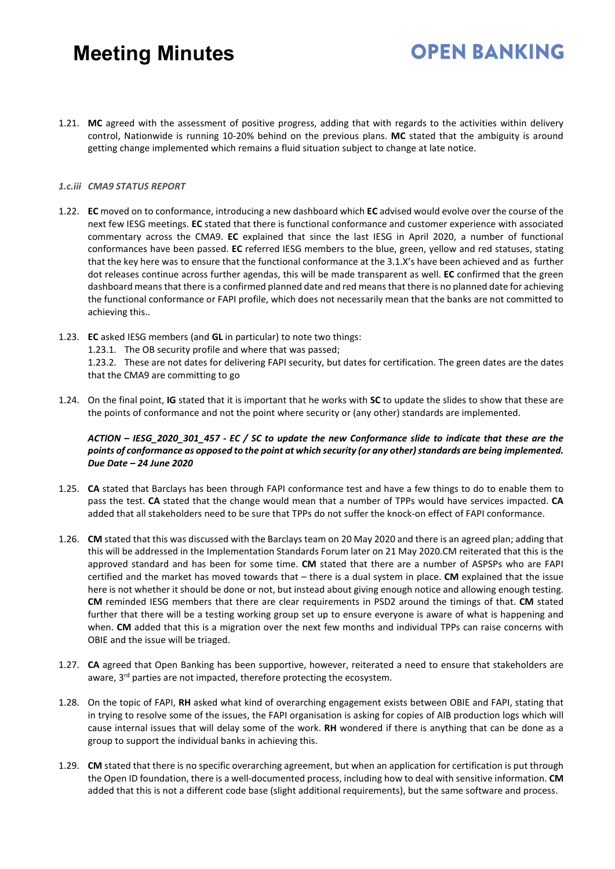1.21. **MC** agreed with the assessment of positive progress, adding that with regards to the activities within delivery control, Nationwide is running 10-20% behind on the previous plans. **MC** stated that the ambiguity is around getting change implemented which remains a fluid situation subject to change at late notice.

**OPEN BANKING** 

#### *1.c.iii CMA9 STATUS REPORT*

- 1.22. **EC** moved on to conformance, introducing a new dashboard which **EC** advised would evolve over the course of the next few IESG meetings. **EC** stated that there is functional conformance and customer experience with associated commentary across the CMA9. **EC** explained that since the last IESG in April 2020, a number of functional conformances have been passed. **EC** referred IESG members to the blue, green, yellow and red statuses, stating that the key here was to ensure that the functional conformance at the 3.1.X's have been achieved and as further dot releases continue across further agendas, this will be made transparent as well. **EC** confirmed that the green dashboard means that there is a confirmed planned date and red means that there is no planned date for achieving the functional conformance or FAPI profile, which does not necessarily mean that the banks are not committed to achieving this..
- 1.23. **EC** asked IESG members (and **GL** in particular) to note two things: 1.23.1. The OB security profile and where that was passed; 1.23.2. These are not dates for delivering FAPI security, but dates for certification. The green dates are the dates that the CMA9 are committing to go
- 1.24. On the final point, **IG** stated that it is important that he works with **SC** to update the slides to show that these are the points of conformance and not the point where security or (any other) standards are implemented.

#### *ACTION – IESG\_2020\_301\_457 - EC / SC to update the new Conformance slide to indicate that these are the points of conformance as opposed to the point at which security (or any other) standards are being implemented. Due Date – 24 June 2020*

- 1.25. **CA** stated that Barclays has been through FAPI conformance test and have a few things to do to enable them to pass the test. **CA** stated that the change would mean that a number of TPPs would have services impacted. **CA** added that all stakeholders need to be sure that TPPs do not suffer the knock-on effect of FAPI conformance.
- 1.26. **CM** stated that this was discussed with the Barclays team on 20 May 2020 and there is an agreed plan; adding that this will be addressed in the Implementation Standards Forum later on 21 May 2020.CM reiterated that this is the approved standard and has been for some time. **CM** stated that there are a number of ASPSPs who are FAPI certified and the market has moved towards that – there is a dual system in place. **CM** explained that the issue here is not whether it should be done or not, but instead about giving enough notice and allowing enough testing. **CM** reminded IESG members that there are clear requirements in PSD2 around the timings of that. **CM** stated further that there will be a testing working group set up to ensure everyone is aware of what is happening and when. **CM** added that this is a migration over the next few months and individual TPPs can raise concerns with OBIE and the issue will be triaged.
- 1.27. **CA** agreed that Open Banking has been supportive, however, reiterated a need to ensure that stakeholders are aware, 3<sup>rd</sup> parties are not impacted, therefore protecting the ecosystem.
- 1.28. On the topic of FAPI, **RH** asked what kind of overarching engagement exists between OBIE and FAPI, stating that in trying to resolve some of the issues, the FAPI organisation is asking for copies of AIB production logs which will cause internal issues that will delay some of the work. **RH** wondered if there is anything that can be done as a group to support the individual banks in achieving this.
- 1.29. **CM** stated that there is no specific overarching agreement, but when an application for certification is put through the Open ID foundation, there is a well-documented process, including how to deal with sensitive information. **CM** added that this is not a different code base (slight additional requirements), but the same software and process.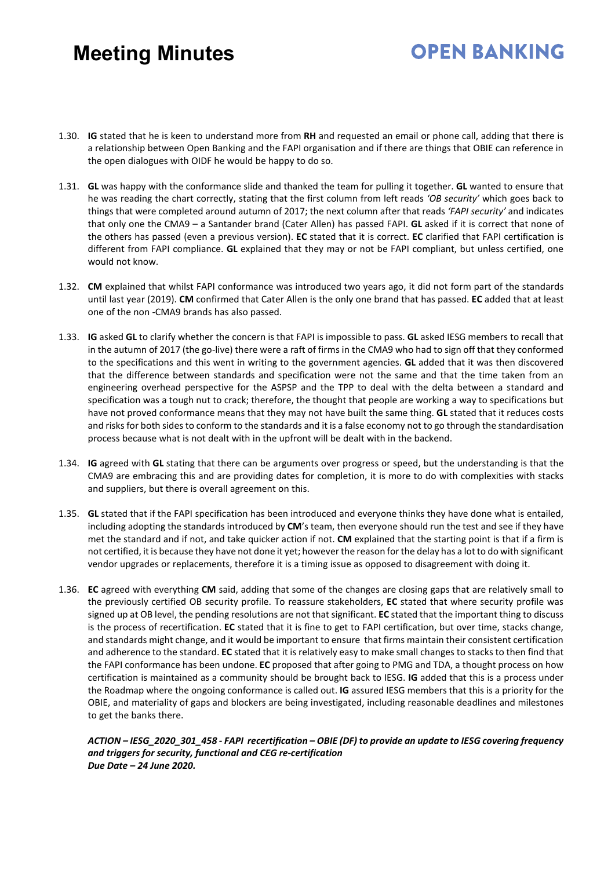### **OPEN BANKING**

- 1.30. **IG** stated that he is keen to understand more from **RH** and requested an email or phone call, adding that there is a relationship between Open Banking and the FAPI organisation and if there are things that OBIE can reference in the open dialogues with OIDF he would be happy to do so.
- 1.31. **GL** was happy with the conformance slide and thanked the team for pulling it together. **GL** wanted to ensure that he was reading the chart correctly, stating that the first column from left reads *'OB security'* which goes back to things that were completed around autumn of 2017; the next column after that reads *'FAPI security'* and indicates that only one the CMA9 – a Santander brand (Cater Allen) has passed FAPI. **GL** asked if it is correct that none of the others has passed (even a previous version). **EC** stated that it is correct. **EC** clarified that FAPI certification is different from FAPI compliance. **GL** explained that they may or not be FAPI compliant, but unless certified, one would not know.
- 1.32. **CM** explained that whilst FAPI conformance was introduced two years ago, it did not form part of the standards until last year (2019). **CM** confirmed that Cater Allen is the only one brand that has passed. **EC** added that at least one of the non -CMA9 brands has also passed.
- 1.33. **IG** asked **GL** to clarify whether the concern is that FAPI is impossible to pass. **GL** asked IESG members to recall that in the autumn of 2017 (the go-live) there were a raft of firms in the CMA9 who had to sign off that they conformed to the specifications and this went in writing to the government agencies. **GL** added that it was then discovered that the difference between standards and specification were not the same and that the time taken from an engineering overhead perspective for the ASPSP and the TPP to deal with the delta between a standard and specification was a tough nut to crack; therefore, the thought that people are working a way to specifications but have not proved conformance means that they may not have built the same thing. **GL** stated that it reduces costs and risks for both sides to conform to the standards and it is a false economy not to go through the standardisation process because what is not dealt with in the upfront will be dealt with in the backend.
- 1.34. **IG** agreed with **GL** stating that there can be arguments over progress or speed, but the understanding is that the CMA9 are embracing this and are providing dates for completion, it is more to do with complexities with stacks and suppliers, but there is overall agreement on this.
- 1.35. **GL** stated that if the FAPI specification has been introduced and everyone thinks they have done what is entailed, including adopting the standards introduced by **CM**'s team, then everyone should run the test and see if they have met the standard and if not, and take quicker action if not. **CM** explained that the starting point is that if a firm is not certified, it is because they have not done it yet; however the reason for the delay has a lot to do with significant vendor upgrades or replacements, therefore it is a timing issue as opposed to disagreement with doing it.
- 1.36. **EC** agreed with everything **CM** said, adding that some of the changes are closing gaps that are relatively small to the previously certified OB security profile. To reassure stakeholders, **EC** stated that where security profile was signed up at OB level, the pending resolutions are not that significant. **EC** stated that the important thing to discuss is the process of recertification. **EC** stated that it is fine to get to FAPI certification, but over time, stacks change, and standards might change, and it would be important to ensure that firms maintain their consistent certification and adherence to the standard. **EC** stated that it is relatively easy to make small changes to stacks to then find that the FAPI conformance has been undone. **EC** proposed that after going to PMG and TDA, a thought process on how certification is maintained as a community should be brought back to IESG. **IG** added that this is a process under the Roadmap where the ongoing conformance is called out. **IG** assured IESG members that this is a priority for the OBIE, and materiality of gaps and blockers are being investigated, including reasonable deadlines and milestones to get the banks there.

*ACTION – IESG\_2020\_301\_458 - FAPI recertification – OBIE (DF) to provide an update to IESG covering frequency and triggers for security, functional and CEG re-certification Due Date – 24 June 2020.*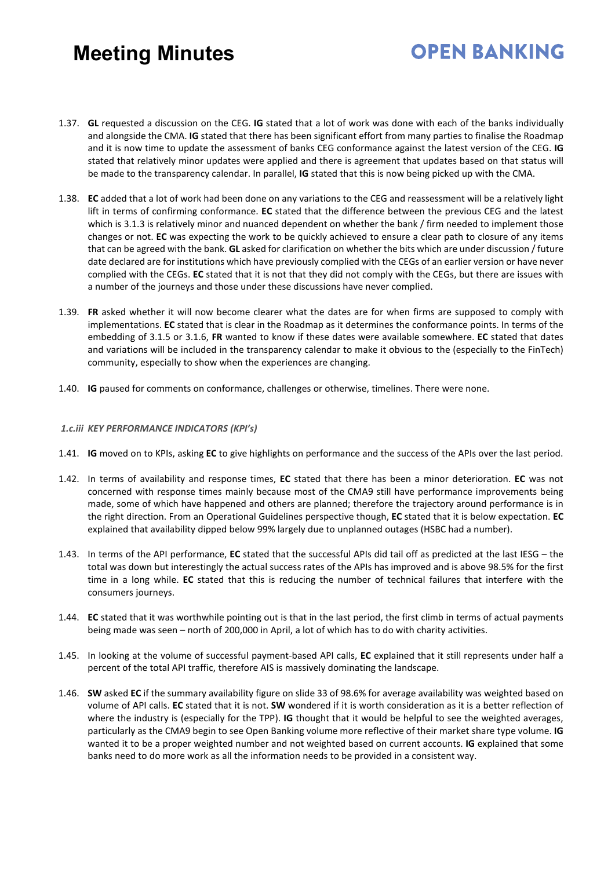## **OPEN BANKING**

- 1.37. **GL** requested a discussion on the CEG. **IG** stated that a lot of work was done with each of the banks individually and alongside the CMA. **IG** stated that there has been significant effort from many parties to finalise the Roadmap and it is now time to update the assessment of banks CEG conformance against the latest version of the CEG. **IG** stated that relatively minor updates were applied and there is agreement that updates based on that status will be made to the transparency calendar. In parallel, **IG** stated that this is now being picked up with the CMA.
- 1.38. **EC** added that a lot of work had been done on any variations to the CEG and reassessment will be a relatively light lift in terms of confirming conformance. **EC** stated that the difference between the previous CEG and the latest which is 3.1.3 is relatively minor and nuanced dependent on whether the bank / firm needed to implement those changes or not. **EC** was expecting the work to be quickly achieved to ensure a clear path to closure of any items that can be agreed with the bank. **GL** asked for clarification on whether the bits which are under discussion / future date declared are for institutions which have previously complied with the CEGs of an earlier version or have never complied with the CEGs. **EC** stated that it is not that they did not comply with the CEGs, but there are issues with a number of the journeys and those under these discussions have never complied.
- 1.39. **FR** asked whether it will now become clearer what the dates are for when firms are supposed to comply with implementations. **EC** stated that is clear in the Roadmap as it determines the conformance points. In terms of the embedding of 3.1.5 or 3.1.6, **FR** wanted to know if these dates were available somewhere. **EC** stated that dates and variations will be included in the transparency calendar to make it obvious to the (especially to the FinTech) community, especially to show when the experiences are changing.
- 1.40. **IG** paused for comments on conformance, challenges or otherwise, timelines. There were none.

#### *1.c.iii KEY PERFORMANCE INDICATORS (KPI's)*

- 1.41. **IG** moved on to KPIs, asking **EC** to give highlights on performance and the success of the APIs over the last period.
- 1.42. In terms of availability and response times, **EC** stated that there has been a minor deterioration. **EC** was not concerned with response times mainly because most of the CMA9 still have performance improvements being made, some of which have happened and others are planned; therefore the trajectory around performance is in the right direction. From an Operational Guidelines perspective though, **EC** stated that it is below expectation. **EC** explained that availability dipped below 99% largely due to unplanned outages (HSBC had a number).
- 1.43. In terms of the API performance, **EC** stated that the successful APIs did tail off as predicted at the last IESG the total was down but interestingly the actual success rates of the APIs has improved and is above 98.5% for the first time in a long while. **EC** stated that this is reducing the number of technical failures that interfere with the consumers journeys.
- 1.44. **EC** stated that it was worthwhile pointing out is that in the last period, the first climb in terms of actual payments being made was seen – north of 200,000 in April, a lot of which has to do with charity activities.
- 1.45. In looking at the volume of successful payment-based API calls, **EC** explained that it still represents under half a percent of the total API traffic, therefore AIS is massively dominating the landscape.
- 1.46. **SW** asked **EC** if the summary availability figure on slide 33 of 98.6% for average availability was weighted based on volume of API calls. **EC** stated that it is not. **SW** wondered if it is worth consideration as it is a better reflection of where the industry is (especially for the TPP). **IG** thought that it would be helpful to see the weighted averages, particularly as the CMA9 begin to see Open Banking volume more reflective of their market share type volume. **IG** wanted it to be a proper weighted number and not weighted based on current accounts. **IG** explained that some banks need to do more work as all the information needs to be provided in a consistent way.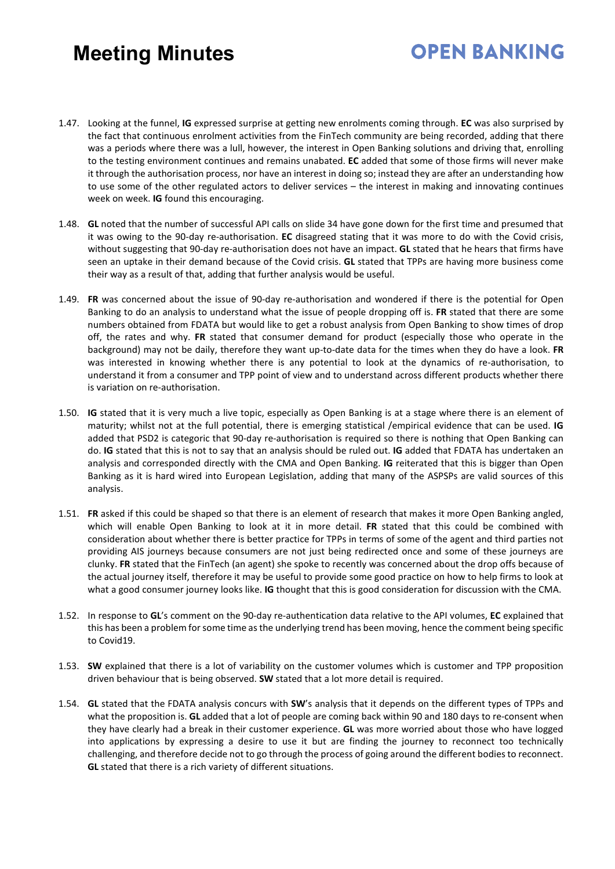- 1.47. Looking at the funnel, **IG** expressed surprise at getting new enrolments coming through. **EC** was also surprised by the fact that continuous enrolment activities from the FinTech community are being recorded, adding that there was a periods where there was a lull, however, the interest in Open Banking solutions and driving that, enrolling to the testing environment continues and remains unabated. **EC** added that some of those firms will never make it through the authorisation process, nor have an interest in doing so; instead they are after an understanding how to use some of the other regulated actors to deliver services – the interest in making and innovating continues week on week. **IG** found this encouraging.
- 1.48. **GL** noted that the number of successful API calls on slide 34 have gone down for the first time and presumed that it was owing to the 90-day re-authorisation. **EC** disagreed stating that it was more to do with the Covid crisis, without suggesting that 90-day re-authorisation does not have an impact. **GL** stated that he hears that firms have seen an uptake in their demand because of the Covid crisis. **GL** stated that TPPs are having more business come their way as a result of that, adding that further analysis would be useful.
- 1.49. **FR** was concerned about the issue of 90-day re-authorisation and wondered if there is the potential for Open Banking to do an analysis to understand what the issue of people dropping off is. **FR** stated that there are some numbers obtained from FDATA but would like to get a robust analysis from Open Banking to show times of drop off, the rates and why. **FR** stated that consumer demand for product (especially those who operate in the background) may not be daily, therefore they want up-to-date data for the times when they do have a look. **FR** was interested in knowing whether there is any potential to look at the dynamics of re-authorisation, to understand it from a consumer and TPP point of view and to understand across different products whether there is variation on re-authorisation.
- 1.50. **IG** stated that it is very much a live topic, especially as Open Banking is at a stage where there is an element of maturity; whilst not at the full potential, there is emerging statistical /empirical evidence that can be used. **IG** added that PSD2 is categoric that 90-day re-authorisation is required so there is nothing that Open Banking can do. **IG** stated that this is not to say that an analysis should be ruled out. **IG** added that FDATA has undertaken an analysis and corresponded directly with the CMA and Open Banking. **IG** reiterated that this is bigger than Open Banking as it is hard wired into European Legislation, adding that many of the ASPSPs are valid sources of this analysis.
- 1.51. **FR** asked if this could be shaped so that there is an element of research that makes it more Open Banking angled, which will enable Open Banking to look at it in more detail. **FR** stated that this could be combined with consideration about whether there is better practice for TPPs in terms of some of the agent and third parties not providing AIS journeys because consumers are not just being redirected once and some of these journeys are clunky. **FR** stated that the FinTech (an agent) she spoke to recently was concerned about the drop offs because of the actual journey itself, therefore it may be useful to provide some good practice on how to help firms to look at what a good consumer journey looks like. **IG** thought that this is good consideration for discussion with the CMA.
- 1.52. In response to **GL**'s comment on the 90-day re-authentication data relative to the API volumes, **EC** explained that this has been a problem for some time as the underlying trend has been moving, hence the comment being specific to Covid19.
- 1.53. **SW** explained that there is a lot of variability on the customer volumes which is customer and TPP proposition driven behaviour that is being observed. **SW** stated that a lot more detail is required.
- 1.54. **GL** stated that the FDATA analysis concurs with **SW**'s analysis that it depends on the different types of TPPs and what the proposition is. **GL** added that a lot of people are coming back within 90 and 180 days to re-consent when they have clearly had a break in their customer experience. **GL** was more worried about those who have logged into applications by expressing a desire to use it but are finding the journey to reconnect too technically challenging, and therefore decide not to go through the process of going around the different bodies to reconnect. **GL** stated that there is a rich variety of different situations.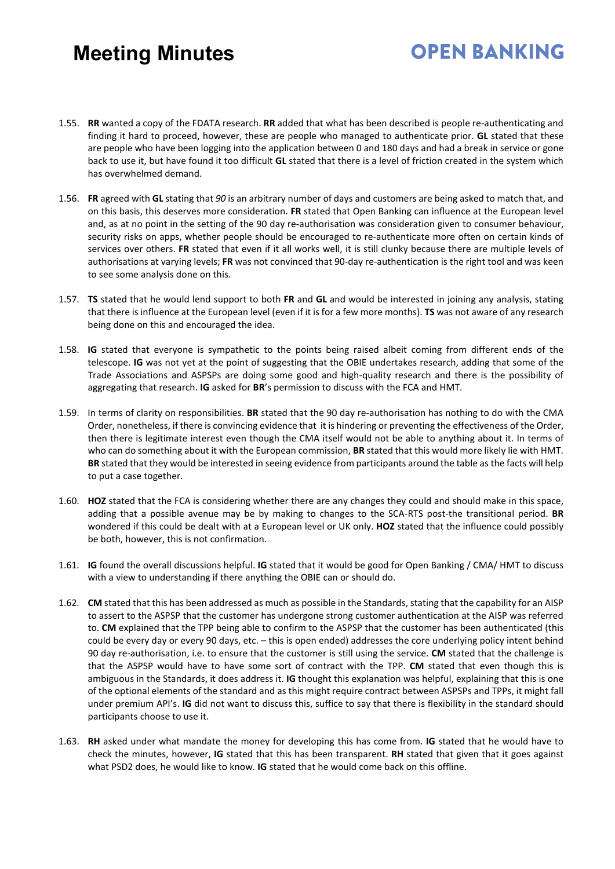- 1.55. **RR** wanted a copy of the FDATA research. **RR** added that what has been described is people re-authenticating and finding it hard to proceed, however, these are people who managed to authenticate prior. **GL** stated that these are people who have been logging into the application between 0 and 180 days and had a break in service or gone back to use it, but have found it too difficult **GL** stated that there is a level of friction created in the system which has overwhelmed demand.
- 1.56. **FR** agreed with **GL** stating that *90* is an arbitrary number of days and customers are being asked to match that, and on this basis, this deserves more consideration. **FR** stated that Open Banking can influence at the European level and, as at no point in the setting of the 90 day re-authorisation was consideration given to consumer behaviour, security risks on apps, whether people should be encouraged to re-authenticate more often on certain kinds of services over others. **FR** stated that even if it all works well, it is still clunky because there are multiple levels of authorisations at varying levels; **FR** was not convinced that 90-day re-authentication is the right tool and was keen to see some analysis done on this.
- 1.57. **TS** stated that he would lend support to both **FR** and **GL** and would be interested in joining any analysis, stating that there is influence at the European level (even if it is for a few more months). **TS** was not aware of any research being done on this and encouraged the idea.
- 1.58. **IG** stated that everyone is sympathetic to the points being raised albeit coming from different ends of the telescope. **IG** was not yet at the point of suggesting that the OBIE undertakes research, adding that some of the Trade Associations and ASPSPs are doing some good and high-quality research and there is the possibility of aggregating that research. **IG** asked for **BR**'s permission to discuss with the FCA and HMT.
- 1.59. In terms of clarity on responsibilities. **BR** stated that the 90 day re-authorisation has nothing to do with the CMA Order, nonetheless, if there is convincing evidence that it is hindering or preventing the effectiveness of the Order, then there is legitimate interest even though the CMA itself would not be able to anything about it. In terms of who can do something about it with the European commission, **BR** stated that this would more likely lie with HMT. **BR** stated that they would be interested in seeing evidence from participants around the table as the facts will help to put a case together.
- 1.60. **HOZ** stated that the FCA is considering whether there are any changes they could and should make in this space, adding that a possible avenue may be by making to changes to the SCA-RTS post-the transitional period. **BR** wondered if this could be dealt with at a European level or UK only. **HOZ** stated that the influence could possibly be both, however, this is not confirmation.
- 1.61. **IG** found the overall discussions helpful. **IG** stated that it would be good for Open Banking / CMA/ HMT to discuss with a view to understanding if there anything the OBIE can or should do.
- 1.62. **CM** stated that this has been addressed as much as possible in the Standards, stating that the capability for an AISP to assert to the ASPSP that the customer has undergone strong customer authentication at the AISP was referred to. **CM** explained that the TPP being able to confirm to the ASPSP that the customer has been authenticated (this could be every day or every 90 days, etc. – this is open ended) addresses the core underlying policy intent behind 90 day re-authorisation, i.e. to ensure that the customer is still using the service. **CM** stated that the challenge is that the ASPSP would have to have some sort of contract with the TPP. **CM** stated that even though this is ambiguous in the Standards, it does address it. **IG** thought this explanation was helpful, explaining that this is one of the optional elements of the standard and as this might require contract between ASPSPs and TPPs, it might fall under premium API's. **IG** did not want to discuss this, suffice to say that there is flexibility in the standard should participants choose to use it.
- 1.63. **RH** asked under what mandate the money for developing this has come from. **IG** stated that he would have to check the minutes, however, **IG** stated that this has been transparent. **RH** stated that given that it goes against what PSD2 does, he would like to know. **IG** stated that he would come back on this offline.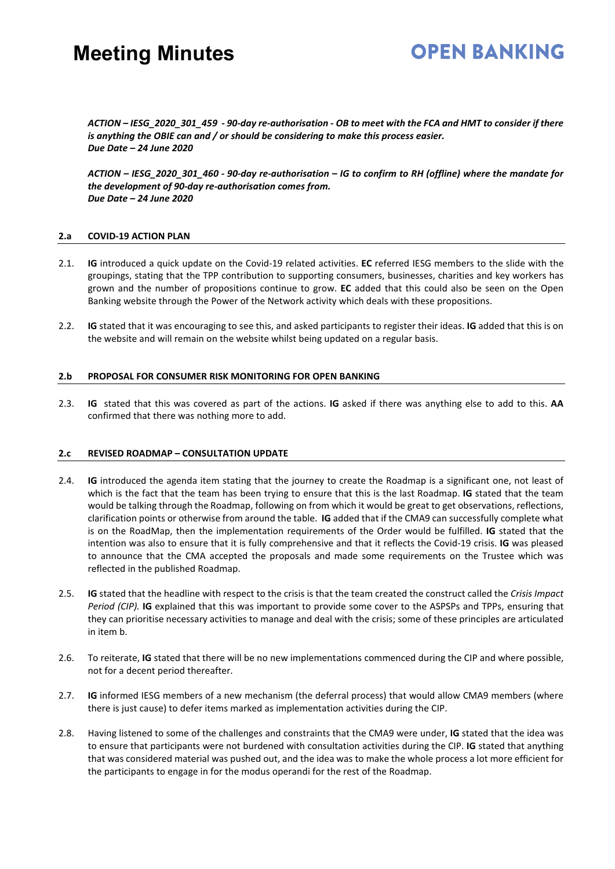#### **OPEN BANKING**

*ACTION – IESG\_2020\_301\_459 - 90-day re-authorisation - OB to meet with the FCA and HMT to consider if there is anything the OBIE can and / or should be considering to make this process easier. Due Date – 24 June 2020* 

*ACTION – IESG\_2020\_301\_460 - 90-day re-authorisation – IG to confirm to RH (offline) where the mandate for the development of 90-day re-authorisation comes from. Due Date – 24 June 2020* 

#### **2.a COVID-19 ACTION PLAN**

- 2.1. **IG** introduced a quick update on the Covid-19 related activities. **EC** referred IESG members to the slide with the groupings, stating that the TPP contribution to supporting consumers, businesses, charities and key workers has grown and the number of propositions continue to grow. **EC** added that this could also be seen on the Open Banking website through the Power of the Network activity which deals with these propositions.
- 2.2. **IG** stated that it was encouraging to see this, and asked participants to register their ideas. **IG** added that this is on the website and will remain on the website whilst being updated on a regular basis.

#### **2.b PROPOSAL FOR CONSUMER RISK MONITORING FOR OPEN BANKING**

2.3. **IG**stated that this was covered as part of the actions. **IG** asked if there was anything else to add to this. **AA**  confirmed that there was nothing more to add.

#### **2.c REVISED ROADMAP – CONSULTATION UPDATE**

- 2.4. **IG** introduced the agenda item stating that the journey to create the Roadmap is a significant one, not least of which is the fact that the team has been trying to ensure that this is the last Roadmap. **IG** stated that the team would be talking through the Roadmap, following on from which it would be great to get observations, reflections, clarification points or otherwise from around the table. **IG** added that if the CMA9 can successfully complete what is on the RoadMap, then the implementation requirements of the Order would be fulfilled. **IG** stated that the intention was also to ensure that it is fully comprehensive and that it reflects the Covid-19 crisis. **IG** was pleased to announce that the CMA accepted the proposals and made some requirements on the Trustee which was reflected in the published Roadmap.
- 2.5. **IG** stated that the headline with respect to the crisis is that the team created the construct called the *Crisis Impact Period (CIP).* **IG** explained that this was important to provide some cover to the ASPSPs and TPPs, ensuring that they can prioritise necessary activities to manage and deal with the crisis; some of these principles are articulated in item b.
- 2.6. To reiterate, **IG** stated that there will be no new implementations commenced during the CIP and where possible, not for a decent period thereafter.
- 2.7. **IG** informed IESG members of a new mechanism (the deferral process) that would allow CMA9 members (where there is just cause) to defer items marked as implementation activities during the CIP.
- 2.8. Having listened to some of the challenges and constraints that the CMA9 were under, **IG** stated that the idea was to ensure that participants were not burdened with consultation activities during the CIP. **IG** stated that anything that was considered material was pushed out, and the idea was to make the whole process a lot more efficient for the participants to engage in for the modus operandi for the rest of the Roadmap.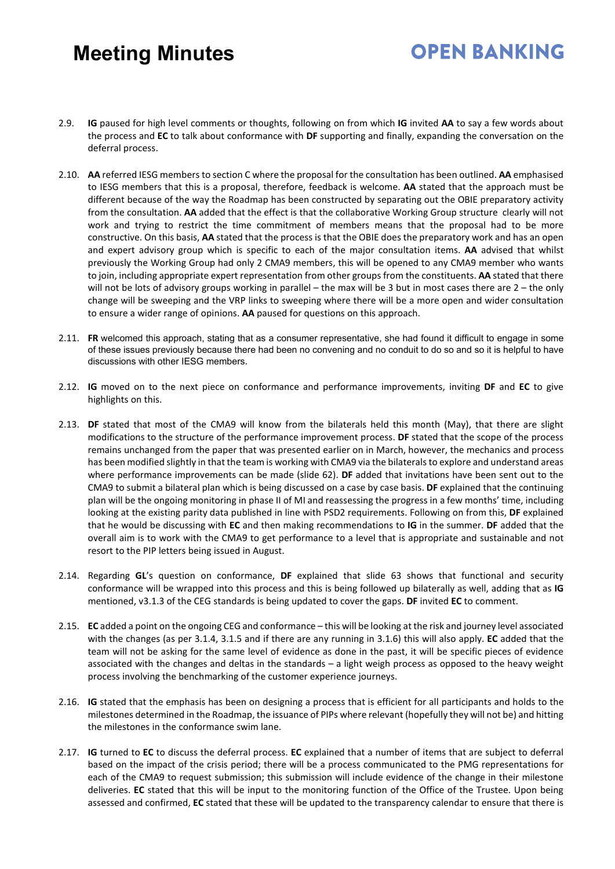- 2.9. **IG** paused for high level comments or thoughts, following on from which **IG** invited **AA** to say a few words about the process and **EC** to talk about conformance with **DF** supporting and finally, expanding the conversation on the deferral process.
- 2.10. **AA** referred IESG members to section C where the proposal for the consultation has been outlined. **AA** emphasised to IESG members that this is a proposal, therefore, feedback is welcome. **AA** stated that the approach must be different because of the way the Roadmap has been constructed by separating out the OBIE preparatory activity from the consultation. **AA** added that the effect is that the collaborative Working Group structure clearly will not work and trying to restrict the time commitment of members means that the proposal had to be more constructive. On this basis, **AA** stated that the process is that the OBIE does the preparatory work and has an open and expert advisory group which is specific to each of the major consultation items. **AA** advised that whilst previously the Working Group had only 2 CMA9 members, this will be opened to any CMA9 member who wants to join, including appropriate expert representation from other groups from the constituents. **AA** stated that there will not be lots of advisory groups working in parallel – the max will be 3 but in most cases there are 2 – the only change will be sweeping and the VRP links to sweeping where there will be a more open and wider consultation to ensure a wider range of opinions. **AA** paused for questions on this approach.
- 2.11. **FR** welcomed this approach, stating that as a consumer representative, she had found it difficult to engage in some of these issues previously because there had been no convening and no conduit to do so and so it is helpful to have discussions with other IESG members.
- 2.12. **IG** moved on to the next piece on conformance and performance improvements, inviting **DF** and **EC** to give highlights on this.
- 2.13. **DF** stated that most of the CMA9 will know from the bilaterals held this month (May), that there are slight modifications to the structure of the performance improvement process. **DF** stated that the scope of the process remains unchanged from the paper that was presented earlier on in March, however, the mechanics and process has been modified slightly in that the team is working with CMA9 via the bilaterals to explore and understand areas where performance improvements can be made (slide 62). **DF** added that invitations have been sent out to the CMA9 to submit a bilateral plan which is being discussed on a case by case basis. **DF** explained that the continuing plan will be the ongoing monitoring in phase II of MI and reassessing the progress in a few months' time, including looking at the existing parity data published in line with PSD2 requirements. Following on from this, **DF** explained that he would be discussing with **EC** and then making recommendations to **IG** in the summer. **DF** added that the overall aim is to work with the CMA9 to get performance to a level that is appropriate and sustainable and not resort to the PIP letters being issued in August.
- 2.14. Regarding **GL**'s question on conformance, **DF** explained that slide 63 shows that functional and security conformance will be wrapped into this process and this is being followed up bilaterally as well, adding that as **IG** mentioned, v3.1.3 of the CEG standards is being updated to cover the gaps. **DF** invited **EC** to comment.
- 2.15. **EC** added a point on the ongoing CEG and conformance this will be looking at the risk and journey level associated with the changes (as per 3.1.4, 3.1.5 and if there are any running in 3.1.6) this will also apply. **EC** added that the team will not be asking for the same level of evidence as done in the past, it will be specific pieces of evidence associated with the changes and deltas in the standards – a light weigh process as opposed to the heavy weight process involving the benchmarking of the customer experience journeys.
- 2.16. **IG** stated that the emphasis has been on designing a process that is efficient for all participants and holds to the milestones determined in the Roadmap, the issuance of PIPs where relevant (hopefully they will not be) and hitting the milestones in the conformance swim lane.
- 2.17. **IG** turned to **EC** to discuss the deferral process. **EC** explained that a number of items that are subject to deferral based on the impact of the crisis period; there will be a process communicated to the PMG representations for each of the CMA9 to request submission; this submission will include evidence of the change in their milestone deliveries. **EC** stated that this will be input to the monitoring function of the Office of the Trustee. Upon being assessed and confirmed, **EC** stated that these will be updated to the transparency calendar to ensure that there is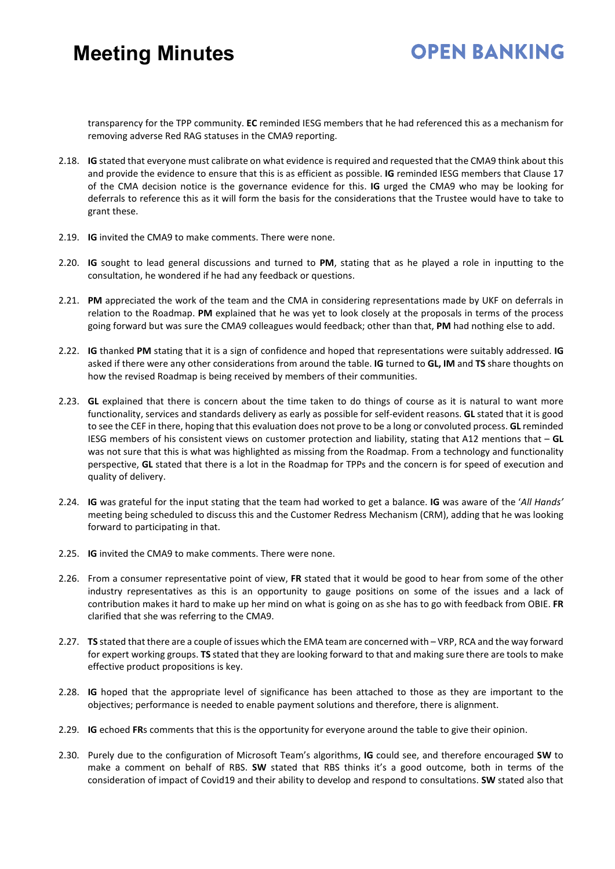#### **OPEN BANKING**

transparency for the TPP community. **EC** reminded IESG members that he had referenced this as a mechanism for removing adverse Red RAG statuses in the CMA9 reporting.

- 2.18. **IG** stated that everyone must calibrate on what evidence is required and requested that the CMA9 think about this and provide the evidence to ensure that this is as efficient as possible. **IG** reminded IESG members that Clause 17 of the CMA decision notice is the governance evidence for this. **IG** urged the CMA9 who may be looking for deferrals to reference this as it will form the basis for the considerations that the Trustee would have to take to grant these.
- 2.19. **IG** invited the CMA9 to make comments. There were none.
- 2.20. **IG** sought to lead general discussions and turned to **PM**, stating that as he played a role in inputting to the consultation, he wondered if he had any feedback or questions.
- 2.21. **PM** appreciated the work of the team and the CMA in considering representations made by UKF on deferrals in relation to the Roadmap. **PM** explained that he was yet to look closely at the proposals in terms of the process going forward but was sure the CMA9 colleagues would feedback; other than that, **PM** had nothing else to add.
- 2.22. **IG** thanked **PM** stating that it is a sign of confidence and hoped that representations were suitably addressed. **IG** asked if there were any other considerations from around the table. **IG** turned to **GL, IM** and **TS** share thoughts on how the revised Roadmap is being received by members of their communities.
- 2.23. **GL** explained that there is concern about the time taken to do things of course as it is natural to want more functionality, services and standards delivery as early as possible for self-evident reasons. **GL** stated that it is good to see the CEF in there, hoping that this evaluation does not prove to be a long or convoluted process. **GL** reminded IESG members of his consistent views on customer protection and liability, stating that A12 mentions that – **GL** was not sure that this is what was highlighted as missing from the Roadmap. From a technology and functionality perspective, **GL** stated that there is a lot in the Roadmap for TPPs and the concern is for speed of execution and quality of delivery.
- 2.24. **IG** was grateful for the input stating that the team had worked to get a balance. **IG** was aware of the '*All Hands'*  meeting being scheduled to discuss this and the Customer Redress Mechanism (CRM), adding that he was looking forward to participating in that.
- 2.25. **IG** invited the CMA9 to make comments. There were none.
- 2.26. From a consumer representative point of view, **FR** stated that it would be good to hear from some of the other industry representatives as this is an opportunity to gauge positions on some of the issues and a lack of contribution makes it hard to make up her mind on what is going on as she has to go with feedback from OBIE. **FR** clarified that she was referring to the CMA9.
- 2.27. **TS** stated that there are a couple of issues which the EMA team are concerned with VRP, RCA and the way forward for expert working groups. **TS** stated that they are looking forward to that and making sure there are tools to make effective product propositions is key.
- 2.28. **IG** hoped that the appropriate level of significance has been attached to those as they are important to the objectives; performance is needed to enable payment solutions and therefore, there is alignment.
- 2.29. **IG** echoed **FR**s comments that this is the opportunity for everyone around the table to give their opinion.
- 2.30. Purely due to the configuration of Microsoft Team's algorithms, **IG** could see, and therefore encouraged **SW** to make a comment on behalf of RBS. **SW** stated that RBS thinks it's a good outcome, both in terms of the consideration of impact of Covid19 and their ability to develop and respond to consultations. **SW** stated also that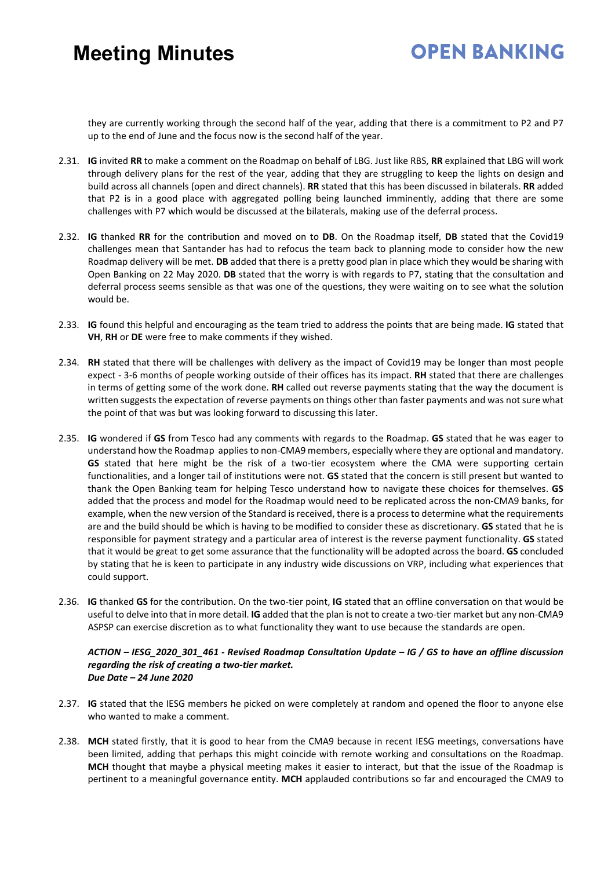### **OPEN BANKING**

they are currently working through the second half of the year, adding that there is a commitment to P2 and P7 up to the end of June and the focus now is the second half of the year.

- 2.31. **IG** invited **RR** to make a comment on the Roadmap on behalf of LBG. Just like RBS, **RR** explained that LBG will work through delivery plans for the rest of the year, adding that they are struggling to keep the lights on design and build across all channels (open and direct channels). **RR** stated that this has been discussed in bilaterals. **RR** added that P2 is in a good place with aggregated polling being launched imminently, adding that there are some challenges with P7 which would be discussed at the bilaterals, making use of the deferral process.
- 2.32. **IG** thanked **RR** for the contribution and moved on to **DB**. On the Roadmap itself, **DB** stated that the Covid19 challenges mean that Santander has had to refocus the team back to planning mode to consider how the new Roadmap delivery will be met. **DB** added that there is a pretty good plan in place which they would be sharing with Open Banking on 22 May 2020. **DB** stated that the worry is with regards to P7, stating that the consultation and deferral process seems sensible as that was one of the questions, they were waiting on to see what the solution would be.
- 2.33. **IG** found this helpful and encouraging as the team tried to address the points that are being made. **IG** stated that **VH**, **RH** or **DE** were free to make comments if they wished.
- 2.34. **RH** stated that there will be challenges with delivery as the impact of Covid19 may be longer than most people expect - 3-6 months of people working outside of their offices has its impact. **RH** stated that there are challenges in terms of getting some of the work done. **RH** called out reverse payments stating that the way the document is written suggests the expectation of reverse payments on things other than faster payments and was not sure what the point of that was but was looking forward to discussing this later.
- 2.35. **IG** wondered if **GS** from Tesco had any comments with regards to the Roadmap. **GS** stated that he was eager to understand how the Roadmap applies to non-CMA9 members, especially where they are optional and mandatory. **GS** stated that here might be the risk of a two-tier ecosystem where the CMA were supporting certain functionalities, and a longer tail of institutions were not. **GS** stated that the concern is still present but wanted to thank the Open Banking team for helping Tesco understand how to navigate these choices for themselves. **GS** added that the process and model for the Roadmap would need to be replicated across the non-CMA9 banks, for example, when the new version of the Standard is received, there is a process to determine what the requirements are and the build should be which is having to be modified to consider these as discretionary. **GS** stated that he is responsible for payment strategy and a particular area of interest is the reverse payment functionality. **GS** stated that it would be great to get some assurance that the functionality will be adopted across the board. **GS** concluded by stating that he is keen to participate in any industry wide discussions on VRP, including what experiences that could support.
- 2.36. **IG** thanked **GS** for the contribution. On the two-tier point, **IG** stated that an offline conversation on that would be useful to delve into that in more detail. **IG** added that the plan is not to create a two-tier market but any non-CMA9 ASPSP can exercise discretion as to what functionality they want to use because the standards are open.

*ACTION – IESG\_2020\_301\_461 - Revised Roadmap Consultation Update – IG / GS to have an offline discussion regarding the risk of creating a two-tier market. Due Date – 24 June 2020*

- 2.37. **IG** stated that the IESG members he picked on were completely at random and opened the floor to anyone else who wanted to make a comment.
- 2.38. **MCH** stated firstly, that it is good to hear from the CMA9 because in recent IESG meetings, conversations have been limited, adding that perhaps this might coincide with remote working and consultations on the Roadmap. **MCH** thought that maybe a physical meeting makes it easier to interact, but that the issue of the Roadmap is pertinent to a meaningful governance entity. **MCH** applauded contributions so far and encouraged the CMA9 to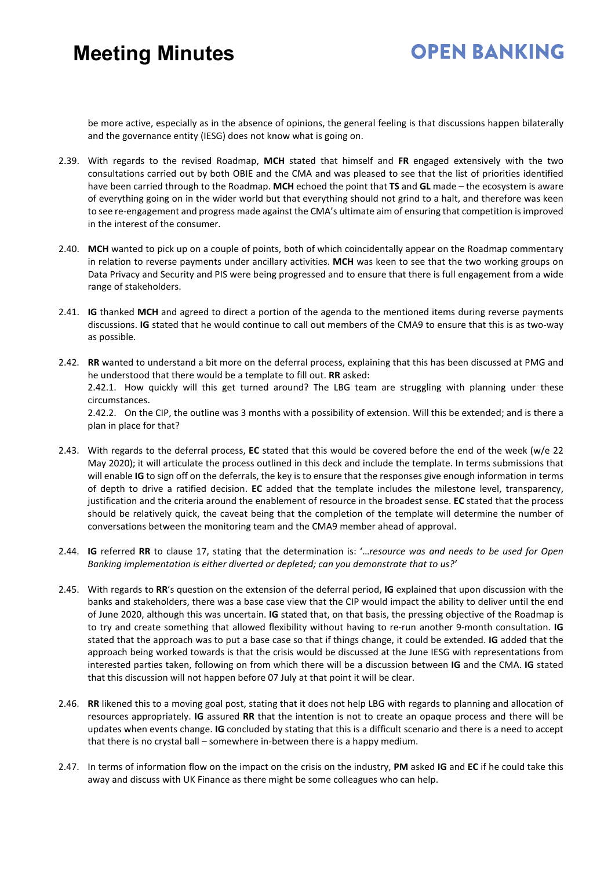#### **OPEN BANKING**

be more active, especially as in the absence of opinions, the general feeling is that discussions happen bilaterally and the governance entity (IESG) does not know what is going on.

- 2.39. With regards to the revised Roadmap, **MCH** stated that himself and **FR** engaged extensively with the two consultations carried out by both OBIE and the CMA and was pleased to see that the list of priorities identified have been carried through to the Roadmap. **MCH** echoed the point that **TS** and **GL** made – the ecosystem is aware of everything going on in the wider world but that everything should not grind to a halt, and therefore was keen to see re-engagement and progress made against the CMA's ultimate aim of ensuring that competition is improved in the interest of the consumer.
- 2.40. **MCH** wanted to pick up on a couple of points, both of which coincidentally appear on the Roadmap commentary in relation to reverse payments under ancillary activities. **MCH** was keen to see that the two working groups on Data Privacy and Security and PIS were being progressed and to ensure that there is full engagement from a wide range of stakeholders.
- 2.41. **IG** thanked **MCH** and agreed to direct a portion of the agenda to the mentioned items during reverse payments discussions. **IG** stated that he would continue to call out members of the CMA9 to ensure that this is as two-way as possible.
- 2.42. **RR** wanted to understand a bit more on the deferral process, explaining that this has been discussed at PMG and he understood that there would be a template to fill out. **RR** asked: 2.42.1. How quickly will this get turned around? The LBG team are struggling with planning under these circumstances. 2.42.2. On the CIP, the outline was 3 months with a possibility of extension. Will this be extended; and is there a plan in place for that?
- 2.43. With regards to the deferral process, **EC** stated that this would be covered before the end of the week (w/e 22 May 2020); it will articulate the process outlined in this deck and include the template. In terms submissions that will enable **IG** to sign off on the deferrals, the key is to ensure that the responses give enough information in terms of depth to drive a ratified decision. **EC** added that the template includes the milestone level, transparency, justification and the criteria around the enablement of resource in the broadest sense. **EC** stated that the process should be relatively quick, the caveat being that the completion of the template will determine the number of conversations between the monitoring team and the CMA9 member ahead of approval.
- 2.44. **IG** referred **RR** to clause 17, stating that the determination is: '…*resource was and needs to be used for Open Banking implementation is either diverted or depleted; can you demonstrate that to us?'*
- 2.45. With regards to **RR**'s question on the extension of the deferral period, **IG** explained that upon discussion with the banks and stakeholders, there was a base case view that the CIP would impact the ability to deliver until the end of June 2020, although this was uncertain. **IG** stated that, on that basis, the pressing objective of the Roadmap is to try and create something that allowed flexibility without having to re-run another 9-month consultation. **IG** stated that the approach was to put a base case so that if things change, it could be extended. **IG** added that the approach being worked towards is that the crisis would be discussed at the June IESG with representations from interested parties taken, following on from which there will be a discussion between **IG** and the CMA. **IG** stated that this discussion will not happen before 07 July at that point it will be clear.
- 2.46. **RR** likened this to a moving goal post, stating that it does not help LBG with regards to planning and allocation of resources appropriately. **IG** assured **RR** that the intention is not to create an opaque process and there will be updates when events change. **IG** concluded by stating that this is a difficult scenario and there is a need to accept that there is no crystal ball – somewhere in-between there is a happy medium.
- 2.47. In terms of information flow on the impact on the crisis on the industry, **PM** asked **IG** and **EC** if he could take this away and discuss with UK Finance as there might be some colleagues who can help.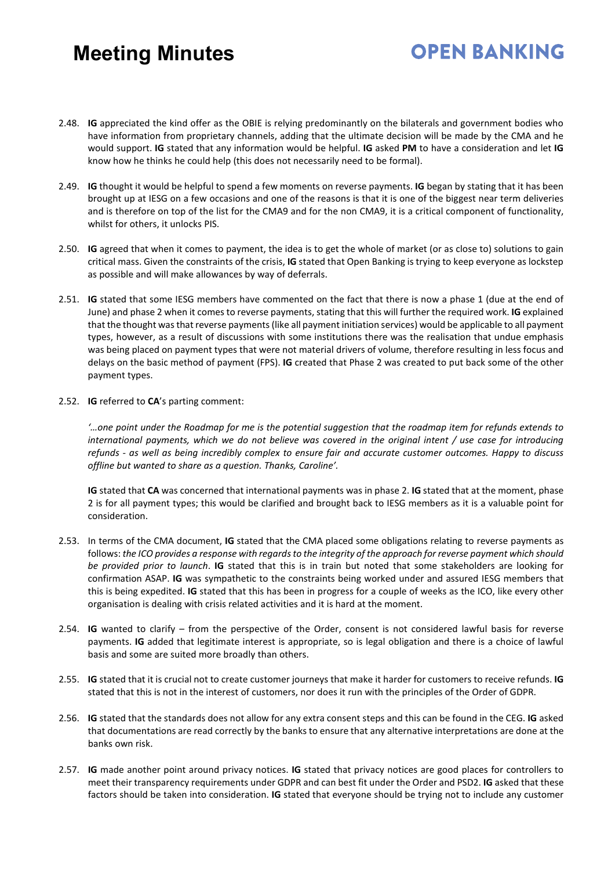2.48. **IG** appreciated the kind offer as the OBIE is relying predominantly on the bilaterals and government bodies who have information from proprietary channels, adding that the ultimate decision will be made by the CMA and he would support. **IG** stated that any information would be helpful. **IG** asked **PM** to have a consideration and let **IG** know how he thinks he could help (this does not necessarily need to be formal).

**OPEN BANKING** 

- 2.49. **IG** thought it would be helpful to spend a few moments on reverse payments. **IG** began by stating that it has been brought up at IESG on a few occasions and one of the reasons is that it is one of the biggest near term deliveries and is therefore on top of the list for the CMA9 and for the non CMA9, it is a critical component of functionality, whilst for others, it unlocks PIS.
- 2.50. **IG** agreed that when it comes to payment, the idea is to get the whole of market (or as close to) solutions to gain critical mass. Given the constraints of the crisis, **IG** stated that Open Banking is trying to keep everyone as lockstep as possible and will make allowances by way of deferrals.
- 2.51. **IG** stated that some IESG members have commented on the fact that there is now a phase 1 (due at the end of June) and phase 2 when it comes to reverse payments, stating that this will further the required work. **IG** explained that the thought was that reverse payments(like all payment initiation services) would be applicable to all payment types, however, as a result of discussions with some institutions there was the realisation that undue emphasis was being placed on payment types that were not material drivers of volume, therefore resulting in less focus and delays on the basic method of payment (FPS). **IG** created that Phase 2 was created to put back some of the other payment types.
- 2.52. **IG** referred to **CA**'s parting comment:

*'…one point under the Roadmap for me is the potential suggestion that the roadmap item for refunds extends to international payments, which we do not believe was covered in the original intent / use case for introducing refunds - as well as being incredibly complex to ensure fair and accurate customer outcomes. Happy to discuss offline but wanted to share as a question. Thanks, Caroline'.*

**IG** stated that **CA** was concerned that international payments was in phase 2. **IG** stated that at the moment, phase 2 is for all payment types; this would be clarified and brought back to IESG members as it is a valuable point for consideration.

- 2.53. In terms of the CMA document, **IG** stated that the CMA placed some obligations relating to reverse payments as follows: *the ICO provides a response with regardsto the integrity of the approach for reverse payment which should be provided prior to launch*. **IG** stated that this is in train but noted that some stakeholders are looking for confirmation ASAP. **IG** was sympathetic to the constraints being worked under and assured IESG members that this is being expedited. **IG** stated that this has been in progress for a couple of weeks as the ICO, like every other organisation is dealing with crisis related activities and it is hard at the moment.
- 2.54. **IG** wanted to clarify from the perspective of the Order, consent is not considered lawful basis for reverse payments. **IG** added that legitimate interest is appropriate, so is legal obligation and there is a choice of lawful basis and some are suited more broadly than others.
- 2.55. **IG** stated that it is crucial not to create customer journeys that make it harder for customers to receive refunds. **IG** stated that this is not in the interest of customers, nor does it run with the principles of the Order of GDPR.
- 2.56. **IG** stated that the standards does not allow for any extra consent steps and this can be found in the CEG. **IG** asked that documentations are read correctly by the banks to ensure that any alternative interpretations are done at the banks own risk.
- 2.57. **IG** made another point around privacy notices. **IG** stated that privacy notices are good places for controllers to meet their transparency requirements under GDPR and can best fit under the Order and PSD2. **IG** asked that these factors should be taken into consideration. **IG** stated that everyone should be trying not to include any customer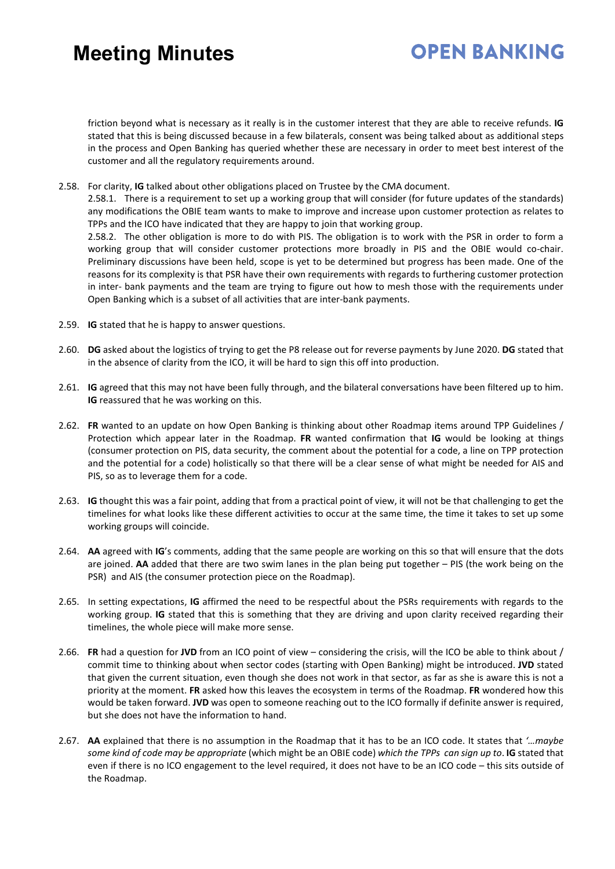### **OPEN BANKING**

friction beyond what is necessary as it really is in the customer interest that they are able to receive refunds. **IG** stated that this is being discussed because in a few bilaterals, consent was being talked about as additional steps in the process and Open Banking has queried whether these are necessary in order to meet best interest of the customer and all the regulatory requirements around.

2.58. For clarity, **IG** talked about other obligations placed on Trustee by the CMA document.

2.58.1. There is a requirement to set up a working group that will consider (for future updates of the standards) any modifications the OBIE team wants to make to improve and increase upon customer protection as relates to TPPs and the ICO have indicated that they are happy to join that working group. 2.58.2. The other obligation is more to do with PIS. The obligation is to work with the PSR in order to form a

working group that will consider customer protections more broadly in PIS and the OBIE would co-chair. Preliminary discussions have been held, scope is yet to be determined but progress has been made. One of the reasons for its complexity is that PSR have their own requirements with regards to furthering customer protection in inter- bank payments and the team are trying to figure out how to mesh those with the requirements under Open Banking which is a subset of all activities that are inter-bank payments.

- 2.59. **IG** stated that he is happy to answer questions.
- 2.60. **DG** asked about the logistics of trying to get the P8 release out for reverse payments by June 2020. **DG** stated that in the absence of clarity from the ICO, it will be hard to sign this off into production.
- 2.61. **IG** agreed that this may not have been fully through, and the bilateral conversations have been filtered up to him. **IG** reassured that he was working on this.
- 2.62. **FR** wanted to an update on how Open Banking is thinking about other Roadmap items around TPP Guidelines / Protection which appear later in the Roadmap. **FR** wanted confirmation that **IG** would be looking at things (consumer protection on PIS, data security, the comment about the potential for a code, a line on TPP protection and the potential for a code) holistically so that there will be a clear sense of what might be needed for AIS and PIS, so as to leverage them for a code.
- 2.63. **IG** thought this was a fair point, adding that from a practical point of view, it will not be that challenging to get the timelines for what looks like these different activities to occur at the same time, the time it takes to set up some working groups will coincide.
- 2.64. **AA** agreed with **IG**'s comments, adding that the same people are working on this so that will ensure that the dots are joined. **AA** added that there are two swim lanes in the plan being put together – PIS (the work being on the PSR) and AIS (the consumer protection piece on the Roadmap).
- 2.65. In setting expectations, **IG** affirmed the need to be respectful about the PSRs requirements with regards to the working group. **IG** stated that this is something that they are driving and upon clarity received regarding their timelines, the whole piece will make more sense.
- 2.66. **FR** had a question for **JVD** from an ICO point of view considering the crisis, will the ICO be able to think about / commit time to thinking about when sector codes (starting with Open Banking) might be introduced. **JVD** stated that given the current situation, even though she does not work in that sector, as far as she is aware this is not a priority at the moment. **FR** asked how this leaves the ecosystem in terms of the Roadmap. **FR** wondered how this would be taken forward. **JVD** was open to someone reaching out to the ICO formally if definite answer is required, but she does not have the information to hand.
- 2.67. **AA** explained that there is no assumption in the Roadmap that it has to be an ICO code. It states that *'…maybe some kind of code may be appropriate* (which might be an OBIE code) *which the TPPs can sign up to*. **IG** stated that even if there is no ICO engagement to the level required, it does not have to be an ICO code – this sits outside of the Roadmap.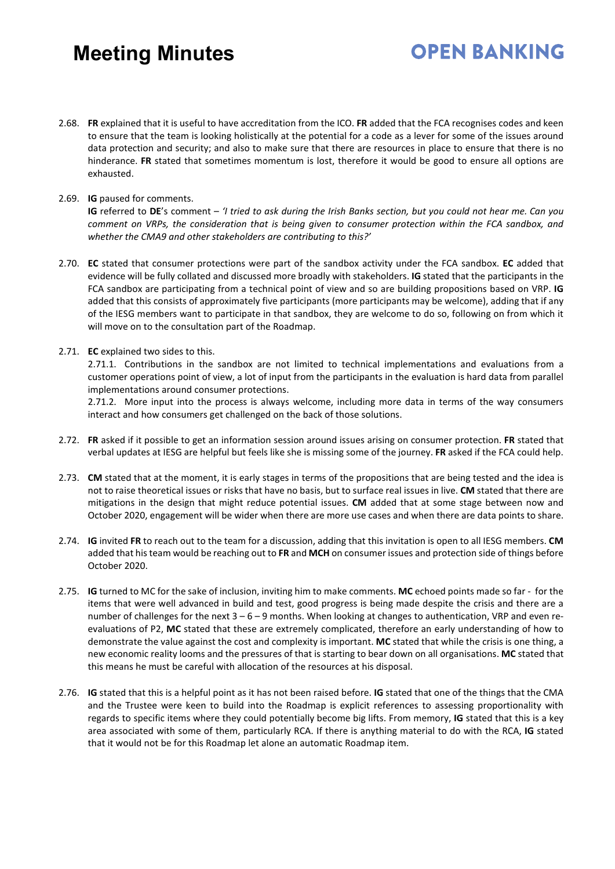#### 2.68. **FR** explained that it is useful to have accreditation from the ICO. **FR** added that the FCA recognises codes and keen to ensure that the team is looking holistically at the potential for a code as a lever for some of the issues around data protection and security; and also to make sure that there are resources in place to ensure that there is no hinderance. **FR** stated that sometimes momentum is lost, therefore it would be good to ensure all options are exhausted.

**OPEN BANKING** 

2.69. **IG** paused for comments.

**IG** referred to **DE**'s comment – *'I tried to ask during the Irish Banks section, but you could not hear me. Can you comment on VRPs, the consideration that is being given to consumer protection within the FCA sandbox, and whether the CMA9 and other stakeholders are contributing to this?'*

- 2.70. **EC** stated that consumer protections were part of the sandbox activity under the FCA sandbox. **EC** added that evidence will be fully collated and discussed more broadly with stakeholders. **IG** stated that the participants in the FCA sandbox are participating from a technical point of view and so are building propositions based on VRP. **IG** added that this consists of approximately five participants (more participants may be welcome), adding that if any of the IESG members want to participate in that sandbox, they are welcome to do so, following on from which it will move on to the consultation part of the Roadmap.
- 2.71. **EC** explained two sides to this.

2.71.1. Contributions in the sandbox are not limited to technical implementations and evaluations from a customer operations point of view, a lot of input from the participants in the evaluation is hard data from parallel implementations around consumer protections.

2.71.2. More input into the process is always welcome, including more data in terms of the way consumers interact and how consumers get challenged on the back of those solutions.

- 2.72. **FR** asked if it possible to get an information session around issues arising on consumer protection. **FR** stated that verbal updates at IESG are helpful but feels like she is missing some of the journey. **FR** asked if the FCA could help.
- 2.73. **CM** stated that at the moment, it is early stages in terms of the propositions that are being tested and the idea is not to raise theoretical issues or risks that have no basis, but to surface real issues in live. **CM** stated that there are mitigations in the design that might reduce potential issues. **CM** added that at some stage between now and October 2020, engagement will be wider when there are more use cases and when there are data points to share.
- 2.74. **IG** invited **FR** to reach out to the team for a discussion, adding that this invitation is open to all IESG members. **CM** added that his team would be reaching out to **FR** and **MCH** on consumer issues and protection side of things before October 2020.
- 2.75. **IG** turned to MC for the sake of inclusion, inviting him to make comments. **MC** echoed points made so far for the items that were well advanced in build and test, good progress is being made despite the crisis and there are a number of challenges for the next  $3 - 6 - 9$  months. When looking at changes to authentication, VRP and even reevaluations of P2, **MC** stated that these are extremely complicated, therefore an early understanding of how to demonstrate the value against the cost and complexity is important. **MC** stated that while the crisis is one thing, a new economic reality looms and the pressures of that is starting to bear down on all organisations. **MC** stated that this means he must be careful with allocation of the resources at his disposal.
- 2.76. **IG** stated that this is a helpful point as it has not been raised before. **IG** stated that one of the things that the CMA and the Trustee were keen to build into the Roadmap is explicit references to assessing proportionality with regards to specific items where they could potentially become big lifts. From memory, **IG** stated that this is a key area associated with some of them, particularly RCA. If there is anything material to do with the RCA, **IG** stated that it would not be for this Roadmap let alone an automatic Roadmap item.